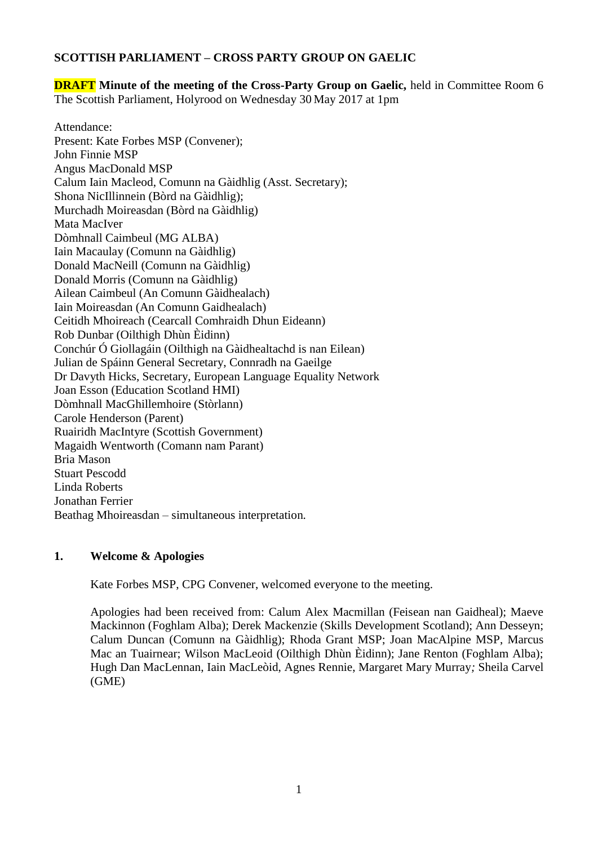# **SCOTTISH PARLIAMENT – CROSS PARTY GROUP ON GAELIC**

**DRAFT Minute of the meeting of the Cross-Party Group on Gaelic,** held in Committee Room 6 The Scottish Parliament, Holyrood on Wednesday 30 May 2017 at 1pm

Attendance: Present: Kate Forbes MSP (Convener); John Finnie MSP Angus MacDonald MSP Calum Iain Macleod, Comunn na Gàidhlig (Asst. Secretary); Shona NicIllinnein (Bòrd na Gàidhlig); Murchadh Moireasdan (Bòrd na Gàidhlig) Mata MacIver Dòmhnall Caimbeul (MG ALBA) Iain Macaulay (Comunn na Gàidhlig) Donald MacNeill (Comunn na Gàidhlig) Donald Morris (Comunn na Gàidhlig) Ailean Caimbeul (An Comunn Gàidhealach) Iain Moireasdan (An Comunn Gaidhealach) Ceitidh Mhoireach (Cearcall Comhraidh Dhun Eideann) Rob Dunbar (Oilthigh Dhùn Èidinn) Conchúr Ó Giollagáin (Oilthigh na Gàidhealtachd is nan Eilean) Julian de Spáinn General Secretary, Connradh na Gaeilge Dr Davyth Hicks, Secretary, European Language Equality Network Joan Esson (Education Scotland HMI) Dòmhnall MacGhillemhoire (Stòrlann) Carole Henderson (Parent) Ruairidh MacIntyre (Scottish Government) Magaidh Wentworth (Comann nam Parant) Bria Mason Stuart Pescodd Linda Roberts Jonathan Ferrier Beathag Mhoireasdan – simultaneous interpretation*.*

### **1. Welcome & Apologies**

Kate Forbes MSP, CPG Convener, welcomed everyone to the meeting.

Apologies had been received from: Calum Alex Macmillan (Feisean nan Gaidheal); Maeve Mackinnon (Foghlam Alba); Derek Mackenzie (Skills Development Scotland); Ann Desseyn; Calum Duncan (Comunn na Gàidhlig); Rhoda Grant MSP; Joan MacAlpine MSP, Marcus Mac an Tuairnear; Wilson MacLeoid (Oilthigh Dhùn Èidinn); Jane Renton (Foghlam Alba); Hugh Dan MacLennan, Iain MacLeòid, Agnes Rennie, Margaret Mary Murray*;* Sheila Carvel (GME)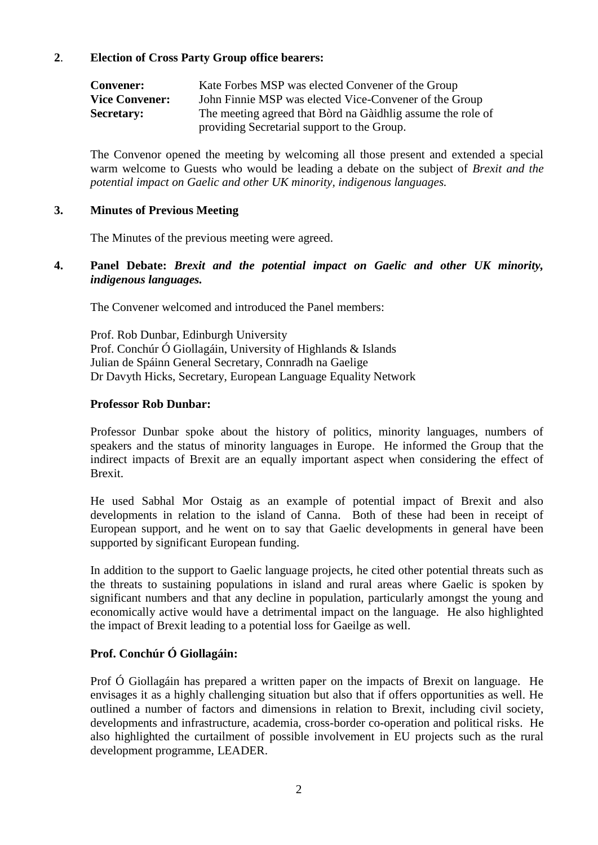## **2**. **Election of Cross Party Group office bearers:**

| <b>Convener:</b>      | Kate Forbes MSP was elected Convener of the Group           |
|-----------------------|-------------------------------------------------------------|
| <b>Vice Convener:</b> | John Finnie MSP was elected Vice-Convener of the Group      |
| <b>Secretary:</b>     | The meeting agreed that Bord na Gaidhlig assume the role of |
|                       | providing Secretarial support to the Group.                 |

The Convenor opened the meeting by welcoming all those present and extended a special warm welcome to Guests who would be leading a debate on the subject of *Brexit and the potential impact on Gaelic and other UK minority, indigenous languages.*

### **3. Minutes of Previous Meeting**

The Minutes of the previous meeting were agreed.

### **4. Panel Debate:** *Brexit and the potential impact on Gaelic and other UK minority, indigenous languages.*

The Convener welcomed and introduced the Panel members:

Prof. Rob Dunbar, Edinburgh University Prof. Conchúr Ó Giollagáin, University of Highlands & Islands Julian de Spáinn General Secretary, Connradh na Gaelige Dr Davyth Hicks, Secretary, European Language Equality Network

#### **Professor Rob Dunbar:**

Professor Dunbar spoke about the history of politics, minority languages, numbers of speakers and the status of minority languages in Europe. He informed the Group that the indirect impacts of Brexit are an equally important aspect when considering the effect of Brexit.

He used Sabhal Mor Ostaig as an example of potential impact of Brexit and also developments in relation to the island of Canna. Both of these had been in receipt of European support, and he went on to say that Gaelic developments in general have been supported by significant European funding.

In addition to the support to Gaelic language projects, he cited other potential threats such as the threats to sustaining populations in island and rural areas where Gaelic is spoken by significant numbers and that any decline in population, particularly amongst the young and economically active would have a detrimental impact on the language. He also highlighted the impact of Brexit leading to a potential loss for Gaeilge as well.

### **Prof. Conchúr Ó Giollagáin:**

Prof Ó Giollagáin has prepared a written paper on the impacts of Brexit on language. He envisages it as a highly challenging situation but also that if offers opportunities as well. He outlined a number of factors and dimensions in relation to Brexit, including civil society, developments and infrastructure, academia, cross-border co-operation and political risks. He also highlighted the curtailment of possible involvement in EU projects such as the rural development programme, LEADER.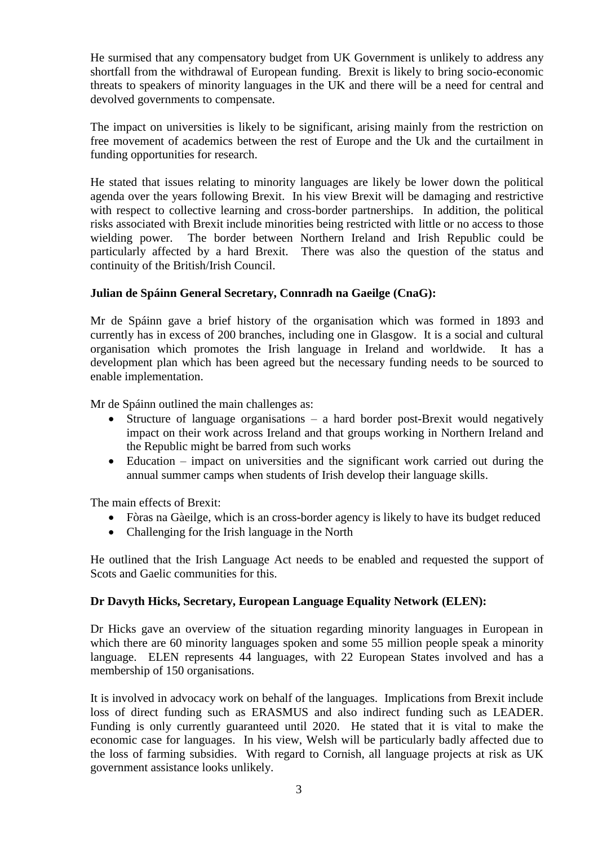He surmised that any compensatory budget from UK Government is unlikely to address any shortfall from the withdrawal of European funding. Brexit is likely to bring socio-economic threats to speakers of minority languages in the UK and there will be a need for central and devolved governments to compensate.

The impact on universities is likely to be significant, arising mainly from the restriction on free movement of academics between the rest of Europe and the Uk and the curtailment in funding opportunities for research.

He stated that issues relating to minority languages are likely be lower down the political agenda over the years following Brexit. In his view Brexit will be damaging and restrictive with respect to collective learning and cross-border partnerships. In addition, the political risks associated with Brexit include minorities being restricted with little or no access to those wielding power. The border between Northern Ireland and Irish Republic could be particularly affected by a hard Brexit. There was also the question of the status and continuity of the British/Irish Council.

## **Julian de Spáinn General Secretary, Connradh na Gaeilge (CnaG):**

Mr de Spáinn gave a brief history of the organisation which was formed in 1893 and currently has in excess of 200 branches, including one in Glasgow. It is a social and cultural organisation which promotes the Irish language in Ireland and worldwide. It has a development plan which has been agreed but the necessary funding needs to be sourced to enable implementation.

Mr de Spáinn outlined the main challenges as:

- Structure of language organisations  $-$  a hard border post-Brexit would negatively impact on their work across Ireland and that groups working in Northern Ireland and the Republic might be barred from such works
- Education impact on universities and the significant work carried out during the annual summer camps when students of Irish develop their language skills.

The main effects of Brexit:

- Fòras na Gàeilge, which is an cross-border agency is likely to have its budget reduced
- Challenging for the Irish language in the North

He outlined that the Irish Language Act needs to be enabled and requested the support of Scots and Gaelic communities for this.

### **Dr Davyth Hicks, Secretary, European Language Equality Network (ELEN):**

Dr Hicks gave an overview of the situation regarding minority languages in European in which there are 60 minority languages spoken and some 55 million people speak a minority language. ELEN represents 44 languages, with 22 European States involved and has a membership of 150 organisations.

It is involved in advocacy work on behalf of the languages. Implications from Brexit include loss of direct funding such as ERASMUS and also indirect funding such as LEADER. Funding is only currently guaranteed until 2020. He stated that it is vital to make the economic case for languages. In his view, Welsh will be particularly badly affected due to the loss of farming subsidies. With regard to Cornish, all language projects at risk as UK government assistance looks unlikely.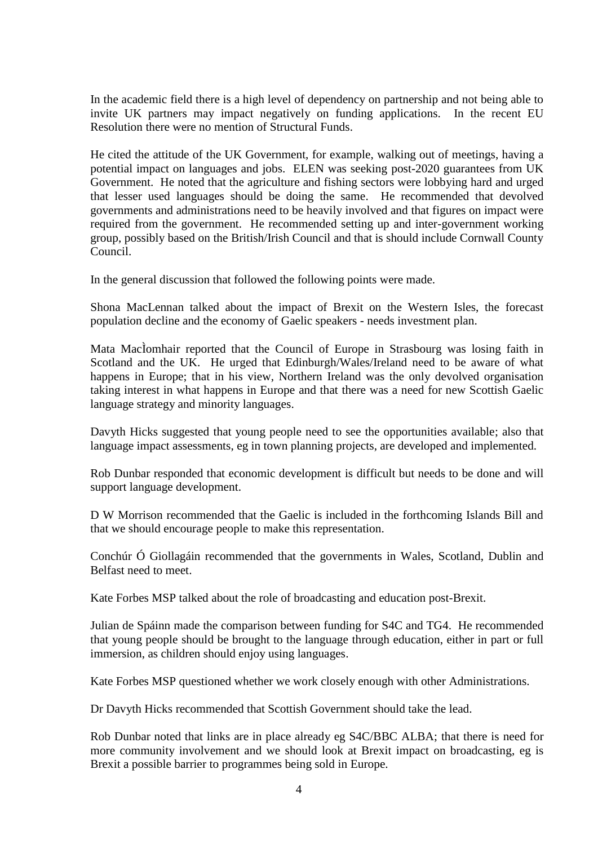In the academic field there is a high level of dependency on partnership and not being able to invite UK partners may impact negatively on funding applications. In the recent EU Resolution there were no mention of Structural Funds.

He cited the attitude of the UK Government, for example, walking out of meetings, having a potential impact on languages and jobs. ELEN was seeking post-2020 guarantees from UK Government. He noted that the agriculture and fishing sectors were lobbying hard and urged that lesser used languages should be doing the same. He recommended that devolved governments and administrations need to be heavily involved and that figures on impact were required from the government. He recommended setting up and inter-government working group, possibly based on the British/Irish Council and that is should include Cornwall County Council.

In the general discussion that followed the following points were made.

Shona MacLennan talked about the impact of Brexit on the Western Isles, the forecast population decline and the economy of Gaelic speakers - needs investment plan.

Mata MacÌomhair reported that the Council of Europe in Strasbourg was losing faith in Scotland and the UK. He urged that Edinburgh/Wales/Ireland need to be aware of what happens in Europe; that in his view, Northern Ireland was the only devolved organisation taking interest in what happens in Europe and that there was a need for new Scottish Gaelic language strategy and minority languages.

Davyth Hicks suggested that young people need to see the opportunities available; also that language impact assessments, eg in town planning projects, are developed and implemented.

Rob Dunbar responded that economic development is difficult but needs to be done and will support language development.

D W Morrison recommended that the Gaelic is included in the forthcoming Islands Bill and that we should encourage people to make this representation.

Conchúr Ó Giollagáin recommended that the governments in Wales, Scotland, Dublin and Belfast need to meet.

Kate Forbes MSP talked about the role of broadcasting and education post-Brexit.

Julian de Spáinn made the comparison between funding for S4C and TG4. He recommended that young people should be brought to the language through education, either in part or full immersion, as children should enjoy using languages.

Kate Forbes MSP questioned whether we work closely enough with other Administrations.

Dr Davyth Hicks recommended that Scottish Government should take the lead.

Rob Dunbar noted that links are in place already eg S4C/BBC ALBA; that there is need for more community involvement and we should look at Brexit impact on broadcasting, eg is Brexit a possible barrier to programmes being sold in Europe.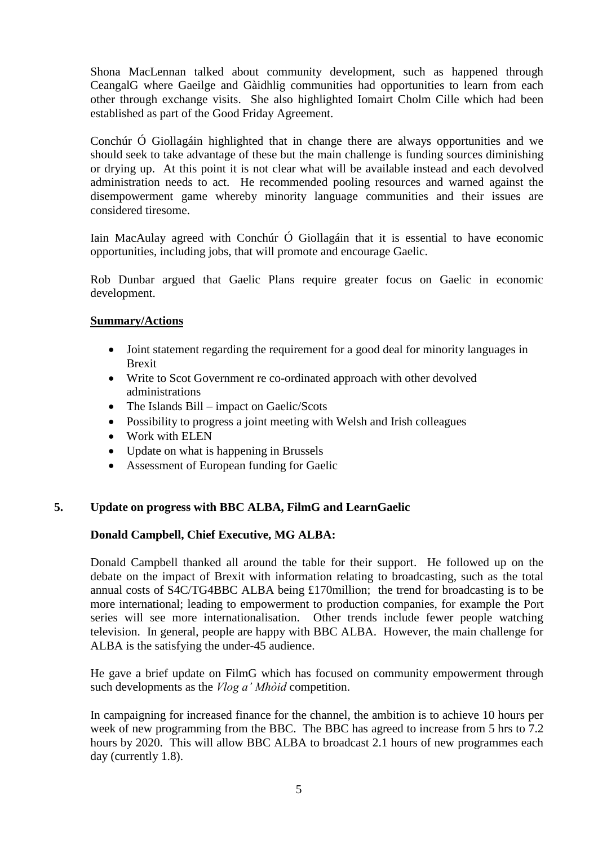Shona MacLennan talked about community development, such as happened through CeangalG where Gaeilge and Gàidhlig communities had opportunities to learn from each other through exchange visits. She also highlighted Iomairt Cholm Cille which had been established as part of the Good Friday Agreement.

Conchúr Ó Giollagáin highlighted that in change there are always opportunities and we should seek to take advantage of these but the main challenge is funding sources diminishing or drying up. At this point it is not clear what will be available instead and each devolved administration needs to act. He recommended pooling resources and warned against the disempowerment game whereby minority language communities and their issues are considered tiresome.

Iain MacAulay agreed with Conchúr Ó Giollagáin that it is essential to have economic opportunities, including jobs, that will promote and encourage Gaelic.

Rob Dunbar argued that Gaelic Plans require greater focus on Gaelic in economic development.

## **Summary/Actions**

- Joint statement regarding the requirement for a good deal for minority languages in Brexit
- Write to Scot Government re co-ordinated approach with other devolved administrations
- The Islands Bill impact on Gaelic/Scots
- Possibility to progress a joint meeting with Welsh and Irish colleagues
- Work with ELEN
- Update on what is happening in Brussels
- Assessment of European funding for Gaelic

# **5. Update on progress with BBC ALBA, FilmG and LearnGaelic**

# **Donald Campbell, Chief Executive, MG ALBA:**

Donald Campbell thanked all around the table for their support. He followed up on the debate on the impact of Brexit with information relating to broadcasting, such as the total annual costs of S4C/TG4BBC ALBA being £170million; the trend for broadcasting is to be more international; leading to empowerment to production companies, for example the Port series will see more internationalisation. Other trends include fewer people watching television. In general, people are happy with BBC ALBA. However, the main challenge for ALBA is the satisfying the under-45 audience.

He gave a brief update on FilmG which has focused on community empowerment through such developments as the *Vlog a' Mhòid* competition.

In campaigning for increased finance for the channel, the ambition is to achieve 10 hours per week of new programming from the BBC. The BBC has agreed to increase from 5 hrs to 7.2 hours by 2020. This will allow BBC ALBA to broadcast 2.1 hours of new programmes each day (currently 1.8).